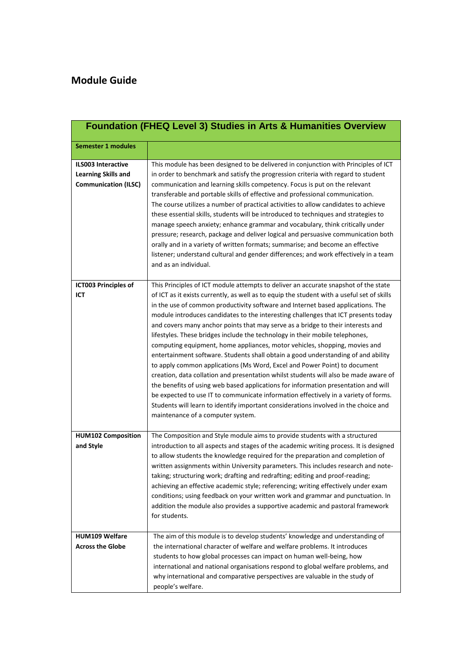| <b>Foundation (FHEQ Level 3) Studies in Arts &amp; Humanities Overview</b>             |                                                                                                                                                                                                                                                                                                                                                                                                                                                                                                                                                                                                                                                                                                                                                                                                                                                                                                                                                                                                                                                                                                                                                                                |  |
|----------------------------------------------------------------------------------------|--------------------------------------------------------------------------------------------------------------------------------------------------------------------------------------------------------------------------------------------------------------------------------------------------------------------------------------------------------------------------------------------------------------------------------------------------------------------------------------------------------------------------------------------------------------------------------------------------------------------------------------------------------------------------------------------------------------------------------------------------------------------------------------------------------------------------------------------------------------------------------------------------------------------------------------------------------------------------------------------------------------------------------------------------------------------------------------------------------------------------------------------------------------------------------|--|
| <b>Semester 1 modules</b>                                                              |                                                                                                                                                                                                                                                                                                                                                                                                                                                                                                                                                                                                                                                                                                                                                                                                                                                                                                                                                                                                                                                                                                                                                                                |  |
| <b>ILS003 Interactive</b><br><b>Learning Skills and</b><br><b>Communication (ILSC)</b> | This module has been designed to be delivered in conjunction with Principles of ICT<br>in order to benchmark and satisfy the progression criteria with regard to student<br>communication and learning skills competency. Focus is put on the relevant<br>transferable and portable skills of effective and professional communication.<br>The course utilizes a number of practical activities to allow candidates to achieve<br>these essential skills, students will be introduced to techniques and strategies to<br>manage speech anxiety; enhance grammar and vocabulary, think critically under<br>pressure; research, package and deliver logical and persuasive communication both<br>orally and in a variety of written formats; summarise; and become an effective<br>listener; understand cultural and gender differences; and work effectively in a team<br>and as an individual.                                                                                                                                                                                                                                                                                 |  |
| ICT003 Principles of<br>ICT                                                            | This Principles of ICT module attempts to deliver an accurate snapshot of the state<br>of ICT as it exists currently, as well as to equip the student with a useful set of skills<br>in the use of common productivity software and Internet based applications. The<br>module introduces candidates to the interesting challenges that ICT presents today<br>and covers many anchor points that may serve as a bridge to their interests and<br>lifestyles. These bridges include the technology in their mobile telephones,<br>computing equipment, home appliances, motor vehicles, shopping, movies and<br>entertainment software. Students shall obtain a good understanding of and ability<br>to apply common applications (Ms Word, Excel and Power Point) to document<br>creation, data collation and presentation whilst students will also be made aware of<br>the benefits of using web based applications for information presentation and will<br>be expected to use IT to communicate information effectively in a variety of forms.<br>Students will learn to identify important considerations involved in the choice and<br>maintenance of a computer system. |  |
| <b>HUM102 Composition</b><br>and Style                                                 | The Composition and Style module aims to provide students with a structured<br>introduction to all aspects and stages of the academic writing process. It is designed<br>to allow students the knowledge required for the preparation and completion of<br>written assignments within University parameters. This includes research and note-<br>taking; structuring work; drafting and redrafting; editing and proof-reading;<br>achieving an effective academic style; referencing; writing effectively under exam<br>conditions; using feedback on your written work and grammar and punctuation. In<br>addition the module also provides a supportive academic and pastoral framework<br>for students.                                                                                                                                                                                                                                                                                                                                                                                                                                                                     |  |
| <b>HUM109 Welfare</b><br><b>Across the Globe</b>                                       | The aim of this module is to develop students' knowledge and understanding of<br>the international character of welfare and welfare problems. It introduces<br>students to how global processes can impact on human well-being, how<br>international and national organisations respond to global welfare problems, and<br>why international and comparative perspectives are valuable in the study of<br>people's welfare.                                                                                                                                                                                                                                                                                                                                                                                                                                                                                                                                                                                                                                                                                                                                                    |  |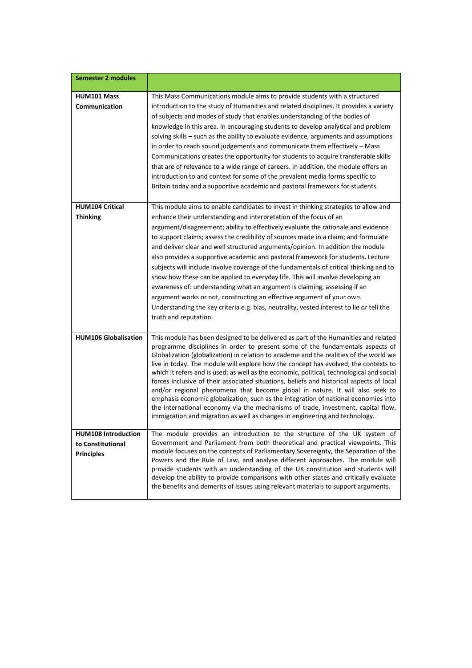| <b>Semester 2 modules</b>                                            |                                                                                                                                                                                                                                                                                                                                                                                                                                                                                                                                                                                                                                                                                                                                                                                                                                                                                                                                                                      |
|----------------------------------------------------------------------|----------------------------------------------------------------------------------------------------------------------------------------------------------------------------------------------------------------------------------------------------------------------------------------------------------------------------------------------------------------------------------------------------------------------------------------------------------------------------------------------------------------------------------------------------------------------------------------------------------------------------------------------------------------------------------------------------------------------------------------------------------------------------------------------------------------------------------------------------------------------------------------------------------------------------------------------------------------------|
| <b>HUM101 Mass</b><br>Communication                                  | This Mass Communications module aims to provide students with a structured<br>introduction to the study of Humanities and related disciplines. It provides a variety<br>of subjects and modes of study that enables understanding of the bodies of<br>knowledge in this area. In encouraging students to develop analytical and problem<br>solving skills - such as the ability to evaluate evidence, arguments and assumptions<br>in order to reach sound judgements and communicate them effectively - Mass<br>Communications creates the opportunity for students to acquire transferable skills<br>that are of relevance to a wide range of careers. In addition, the module offers an<br>introduction to and context for some of the prevalent media forms specific to<br>Britain today and a supportive academic and pastoral framework for students.                                                                                                          |
| <b>HUM104 Critical</b><br><b>Thinking</b>                            | This module aims to enable candidates to invest in thinking strategies to allow and<br>enhance their understanding and interpretation of the focus of an<br>argument/disagreement; ability to effectively evaluate the rationale and evidence<br>to support claims; assess the credibility of sources made in a claim; and formulate<br>and deliver clear and well structured arguments/opinion. In addition the module<br>also provides a supportive academic and pastoral framework for students. Lecture<br>subjects will include involve coverage of the fundamentals of critical thinking and to<br>show how these can be applied to everyday life. This will involve developing an<br>awareness of: understanding what an argument is claiming, assessing if an<br>argument works or not, constructing an effective argument of your own.<br>Understanding the key criteria e.g. bias, neutrality, vested interest to lie or tell the<br>truth and reputation. |
| <b>HUM106 Globalisation</b>                                          | This module has been designed to be delivered as part of the Humanities and related<br>programme disciplines in order to present some of the fundamentals aspects of<br>Globalization (globalization) in relation to academe and the realities of the world we<br>live in today. The module will explore how the concept has evolved; the contexts to<br>which it refers and is used; as well as the economic, political, technological and social<br>forces inclusive of their associated situations, beliefs and historical aspects of local<br>and/or regional phenomena that become global in nature. It will also seek to<br>emphasis economic globalization, such as the integration of national economies into<br>the international economy via the mechanisms of trade, investment, capital flow,<br>immigration and migration as well as changes in engineering and technology.                                                                             |
| <b>HUM108 Introduction</b><br>to Constitutional<br><b>Principles</b> | The module provides an introduction to the structure of the UK system of<br>Government and Parliament from both theoretical and practical viewpoints. This<br>module focuses on the concepts of Parliamentary Sovereignty, the Separation of the<br>Powers and the Rule of Law, and analyse different approaches. The module will<br>provide students with an understanding of the UK constitution and students will<br>develop the ability to provide comparisons with other states and critically evaluate<br>the benefits and demerits of issues using relevant materials to support arguments.                                                                                                                                                                                                                                                                                                                                                                   |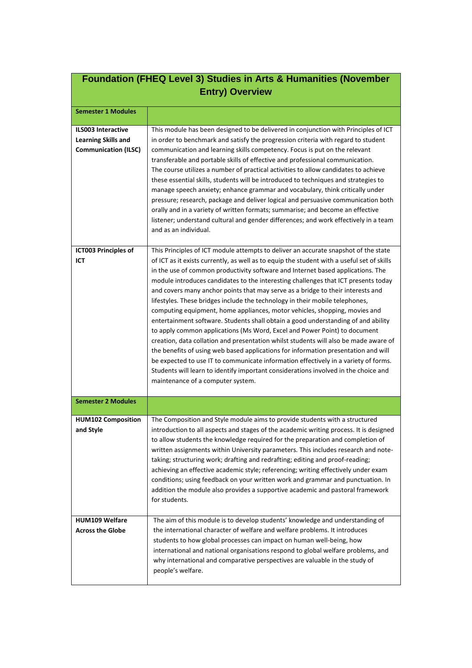| Foundation (FHEQ Level 3) Studies in Arts & Humanities (November<br><b>Entry) Overview</b> |                                                                                                                                                                                                                                                                                                                                                                                                                                                                                                                                                                                                                                                                                                                                                                                                                                                                                                                                                                                                                                                                                                                                                                                |  |
|--------------------------------------------------------------------------------------------|--------------------------------------------------------------------------------------------------------------------------------------------------------------------------------------------------------------------------------------------------------------------------------------------------------------------------------------------------------------------------------------------------------------------------------------------------------------------------------------------------------------------------------------------------------------------------------------------------------------------------------------------------------------------------------------------------------------------------------------------------------------------------------------------------------------------------------------------------------------------------------------------------------------------------------------------------------------------------------------------------------------------------------------------------------------------------------------------------------------------------------------------------------------------------------|--|
| <b>Semester 1 Modules</b>                                                                  |                                                                                                                                                                                                                                                                                                                                                                                                                                                                                                                                                                                                                                                                                                                                                                                                                                                                                                                                                                                                                                                                                                                                                                                |  |
| <b>ILS003 Interactive</b><br><b>Learning Skills and</b><br><b>Communication (ILSC)</b>     | This module has been designed to be delivered in conjunction with Principles of ICT<br>in order to benchmark and satisfy the progression criteria with regard to student<br>communication and learning skills competency. Focus is put on the relevant<br>transferable and portable skills of effective and professional communication.<br>The course utilizes a number of practical activities to allow candidates to achieve<br>these essential skills, students will be introduced to techniques and strategies to<br>manage speech anxiety; enhance grammar and vocabulary, think critically under<br>pressure; research, package and deliver logical and persuasive communication both<br>orally and in a variety of written formats; summarise; and become an effective<br>listener; understand cultural and gender differences; and work effectively in a team<br>and as an individual.                                                                                                                                                                                                                                                                                 |  |
| ICT003 Principles of<br>ICT                                                                | This Principles of ICT module attempts to deliver an accurate snapshot of the state<br>of ICT as it exists currently, as well as to equip the student with a useful set of skills<br>in the use of common productivity software and Internet based applications. The<br>module introduces candidates to the interesting challenges that ICT presents today<br>and covers many anchor points that may serve as a bridge to their interests and<br>lifestyles. These bridges include the technology in their mobile telephones,<br>computing equipment, home appliances, motor vehicles, shopping, movies and<br>entertainment software. Students shall obtain a good understanding of and ability<br>to apply common applications (Ms Word, Excel and Power Point) to document<br>creation, data collation and presentation whilst students will also be made aware of<br>the benefits of using web based applications for information presentation and will<br>be expected to use IT to communicate information effectively in a variety of forms.<br>Students will learn to identify important considerations involved in the choice and<br>maintenance of a computer system. |  |
| <b>Semester 2 Modules</b>                                                                  |                                                                                                                                                                                                                                                                                                                                                                                                                                                                                                                                                                                                                                                                                                                                                                                                                                                                                                                                                                                                                                                                                                                                                                                |  |
| <b>HUM102 Composition</b><br>and Style                                                     | The Composition and Style module aims to provide students with a structured<br>introduction to all aspects and stages of the academic writing process. It is designed<br>to allow students the knowledge required for the preparation and completion of<br>written assignments within University parameters. This includes research and note-<br>taking; structuring work; drafting and redrafting; editing and proof-reading;<br>achieving an effective academic style; referencing; writing effectively under exam<br>conditions; using feedback on your written work and grammar and punctuation. In<br>addition the module also provides a supportive academic and pastoral framework<br>for students.                                                                                                                                                                                                                                                                                                                                                                                                                                                                     |  |
| <b>HUM109 Welfare</b><br><b>Across the Globe</b>                                           | The aim of this module is to develop students' knowledge and understanding of<br>the international character of welfare and welfare problems. It introduces<br>students to how global processes can impact on human well-being, how<br>international and national organisations respond to global welfare problems, and<br>why international and comparative perspectives are valuable in the study of<br>people's welfare.                                                                                                                                                                                                                                                                                                                                                                                                                                                                                                                                                                                                                                                                                                                                                    |  |